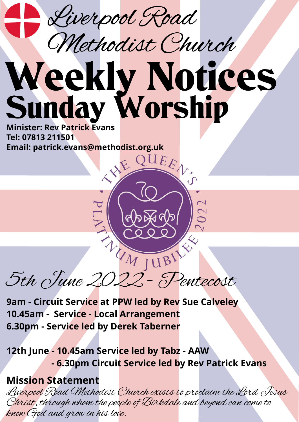Liverpool Road Methodist Church

# Weekly Notices Sunday Worship

**Minister: Rev Patrick Evan Tel: 07813 211501 Email: [patrick.evans@methodist.org.uk](mailto:patrick.evans@methodist.org.uk)**

5th June 2022 - Pentecost

**9am - Circuit Service at PPW led by Rev Sue Calveley 10.45am - Service - Local Arrangement 6.30pm - Service led by Derek Taberner**

**12th June - 10.45am Service led by Tabz - AAW - 6.30pm Circuit Service led by Rev Patrick Evans**

### **Mission Statement**

Liverpool Road Methodist Church exists to proclaim the Lord Jesus Christ, through whom the people of Birkdale and beyond can come to know God and grow in his love.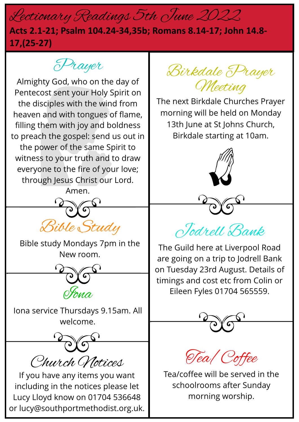## Lectionary Readings 5th June 2022 **Acts 2.1-21; Psalm 104.24-34,35b; Romans 8.14-17; John 14.8- 17,(25-27)**

Prayer

Almighty God, who on the day of Pentecost sent your Holy Spirit on the disciples with the wind from heaven and with tongues of flame, filling them with joy and boldness to preach the gospel: send us out in the power of the same Spirit to witness to your truth and to draw everyone to the fire of your love; through Jesus Christ our Lord.



Bible study Mondays 7pm in the New room.



Iona service Thursdays 9.15am. All welcome.

Church Notices

If you have any items you want including in the notices please let Lucy Lloyd know on 01704 536648 or lucy@southportmethodist.org.uk.

Birkdale Prayer Meeting

The next Birkdale Churches Prayer morning will be held on Monday 13th June at St Johns Church, Birkdale starting at 10am.



Jodrell Bank

The Guild here at Liverpool Road are going on a trip to Jodrell Bank on Tuesday 23rd August. Details of timings and cost etc from Colin or Eileen Fyles 01704 565559.



Tea/Coffee

Tea/coffee will be served in the schoolrooms after Sunday morning worship.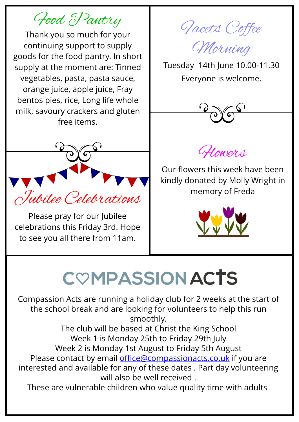Food Pantry

Thank you so much for your continuing support to supply goods for the food pantry. In short supply at the moment are: Tinned vegetables, pasta, pasta sauce, orange juice, apple juice, Fray bentos pies, rice, Long life whole milk, savoury crackers and gluten free items.



Please pray for our Jubilee celebrations this Friday 3rd. Hope to see you all there from 11am.

Facets Coffee

Morning

Tuesday 14th June 10.00-11.30 Everyone is welcome.





Our flowers this week have been kindly donated by Molly Wright in



# **COMPASSION ACTS**

Compassion Acts are running a holiday club for 2 weeks at the start of the school break and are looking for volunteers to help this run smoothly.

The club will be based at Christ the King School Week 1 is Monday 25th to Friday 29th July Week 2 is Monday 1st August to Friday 5th August

Please contact by email [office@compassionacts.co.uk](mailto:office@compassionacts.co.uk) if you are interested and available for any of these dates . Part day volunteering will also be well received .

These are vulnerable children who value quality time with adults .